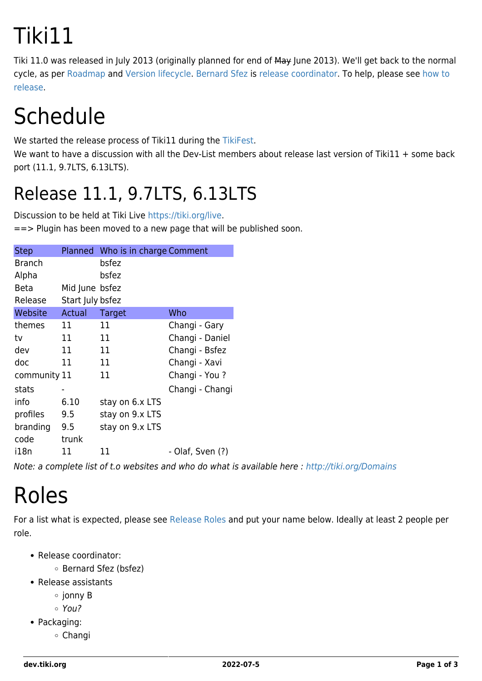# Tiki11

Tiki 11.0 was released in July 2013 (originally planned for end of May June 2013). We'll get back to the normal cycle, as per [Roadmap](https://dev.tiki.org/RoadMap) and [Version lifecycle](http://info.tiki.org/Version%20lifecycle). [Bernard Sfez](http://www.shocksite.com/) is [release coordinator.](http://tiki.org/release%20coordinator) To help, please see [how to](https://dev.tiki.org/How-to-release) [release](https://dev.tiki.org/How-to-release).

# **Schedule**

We started the release process of Tiki11 during the [TikiFest](http://tiki.org/TikiFestMontreal-Ottawa11).

We want to have a discussion with all the Dev-List members about release last version of Tiki11 + some back port (11.1, 9.7LTS, 6.13LTS).

### Release 11.1, 9.7LTS, 6.13LTS

Discussion to be held at Tiki Live [https://tiki.org/live.](https://tiki.org/live)

==> Plugin has been moved to a new page that will be published soon.

| <b>Step</b>   |                              | Planned Who is in charge Comment |                  |
|---------------|------------------------------|----------------------------------|------------------|
| <b>Branch</b> |                              | bsfez                            |                  |
| Alpha         |                              | bsfez                            |                  |
| <b>Beta</b>   | Mid June bsfez               |                                  |                  |
| Release       | Start July bsfez             |                                  |                  |
| Website       | Actual                       | Target                           | Who              |
| themes        | 11                           | 11                               | Changi - Gary    |
| tv            | 11                           | 11                               | Changi - Daniel  |
| dev           | 11                           | 11                               | Changi - Bsfez   |
| doc           | 11                           | 11                               | Changi - Xavi    |
| community 11  |                              | 11                               | Changi - You ?   |
| stats         | $\qquad \qquad \blacksquare$ |                                  | Changi - Changi  |
| info          | 6.10                         | stay on 6.x LTS                  |                  |
| profiles      | 9.5                          | stay on 9.x LTS                  |                  |
| branding      | 9.5                          | stay on 9.x LTS                  |                  |
| code          | trunk                        |                                  |                  |
| i18n          | 11                           | 11                               | - Olaf, Sven (?) |

Note: a complete list of t.o websites and who do what is available here :<http://tiki.org/Domains>

## Roles

For a list what is expected, please see [Release Roles](http://tiki.org/Release%20Roles) and put your name below. Ideally at least 2 people per role.

- Release coordinator:
	- Bernard Sfez (bsfez)
- Release assistants
	- ∘ jonny B
	- You?
- Packaging:
	- Changi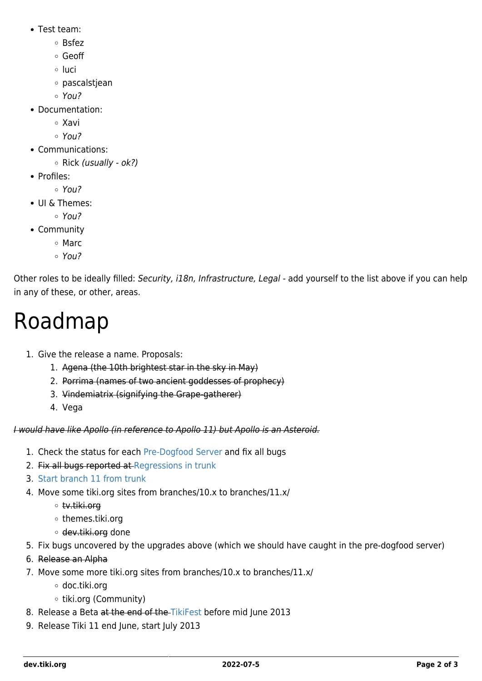- Test team:
	- Bsfez
	- Geoff
	- ∘ luci
	- pascalstjean
	- $\circ$  You?
- Documentation:
	- Xavi
	- You?
- Communications:
	- $\circ$  Rick (usually ok?)
- Profiles:
	- $\circ$  You?
- UI & Themes:
	- You?
- Community
	- Marc
	- $\circ$  You?

Other roles to be ideally filled: Security, i18n, Infrastructure, Legal - add yourself to the list above if you can help in any of these, or other, areas.

## Roadmap

- 1. Give the release a name. Proposals:
	- 1. Agena (the 10th brightest star in the sky in May)
	- 2. Porrima (names of two ancient goddesses of prophecy)
	- 3. Vindemiatrix (signifying the Grape-gatherer)
	- 4. Vega

I would have like Apollo (in reference to Apollo 11) but Apollo is an Asteroid.

- 1. Check the status for each [Pre-Dogfood Server](http://tiki.org/Pre-Dogfood%20Server) and fix all bugs
- 2. Fix all bugs reported at [Regressions in trunk](https://dev.tiki.org/Regressions-in-trunk)
- 3. [Start branch 11 from trunk](https://dev.tiki.org/How-to-release#Create_a_branch_if_you_are_releasing_a_major_version)
- 4. Move some tiki.org sites from branches/10.x to branches/11.x/
	- tv.tiki.org
	- themes.tiki.org
	- o dev.tiki.org done
- 5. Fix bugs uncovered by the upgrades above (which we should have caught in the pre-dogfood server)
- 6. Release an Alpha
- 7. Move some more tiki.org sites from branches/10.x to branches/11.x/
	- doc.tiki.org
	- o tiki.org (Community)
- 8. Release a Beta at the end of the [TikiFest](http://tiki.org/TikiFestMontreal-Ottawa11) before mid June 2013
- 9. Release Tiki 11 end June, start July 2013